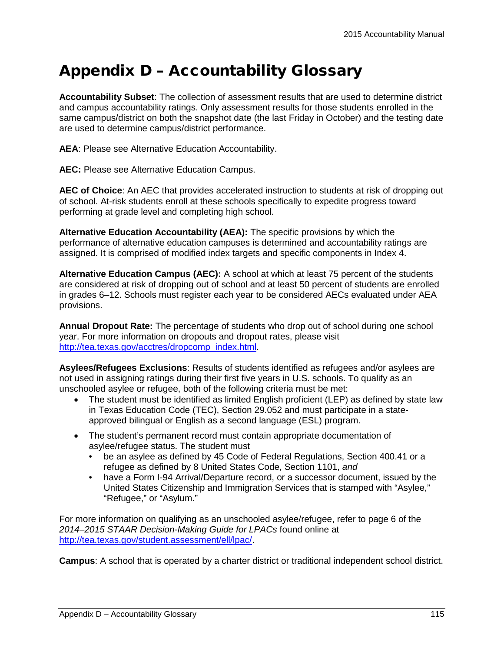## Appendix D – Accountability Glossary

**Accountability Subset**: The collection of assessment results that are used to determine district and campus accountability ratings. Only assessment results for those students enrolled in the same campus/district on both the snapshot date (the last Friday in October) and the testing date are used to determine campus/district performance.

**AEA**: Please see Alternative Education Accountability.

**AEC:** Please see Alternative Education Campus.

**AEC of Choice**: An AEC that provides accelerated instruction to students at risk of dropping out of school. At-risk students enroll at these schools specifically to expedite progress toward performing at grade level and completing high school.

**Alternative Education Accountability (AEA):** The specific provisions by which the performance of alternative education campuses is determined and accountability ratings are assigned. It is comprised of modified index targets and specific components in Index 4.

**Alternative Education Campus (AEC):** A school at which at least 75 percent of the students are considered at risk of dropping out of school and at least 50 percent of students are enrolled in grades 6–12. Schools must register each year to be considered AECs evaluated under AEA provisions.

**Annual Dropout Rate:** The percentage of students who drop out of school during one school year. For more information on dropouts and dropout rates, please visit [http://tea.texas.gov/acctres/dropcomp\\_index.html.](http://tea.texas.gov/acctres/dropcomp_index.html)

**Asylees/Refugees Exclusions**: Results of students identified as refugees and/or asylees are not used in assigning ratings during their first five years in U.S. schools. To qualify as an unschooled asylee or refugee, both of the following criteria must be met:

- The student must be identified as limited English proficient (LEP) as defined by state law in Texas Education Code (TEC), Section 29.052 and must participate in a stateapproved bilingual or English as a second language (ESL) program.
- The student's permanent record must contain appropriate documentation of asylee/refugee status. The student must
	- be an asylee as defined by 45 Code of Federal Regulations, Section 400.41 or a refugee as defined by 8 United States Code, Section 1101, *and*
	- have a Form I-94 Arrival/Departure record, or a successor document, issued by the United States Citizenship and Immigration Services that is stamped with "Asylee," "Refugee," or "Asylum."

For more information on qualifying as an unschooled asylee/refugee, refer to page 6 of the *2014–2015 STAAR Decision-Making Guide for LPACs* found online at [http://tea.texas.gov/student.assessment/ell/lpac/.](http://tea.texas.gov/student.assessment/ell/lpac/)

**Campus**: A school that is operated by a charter district or traditional independent school district.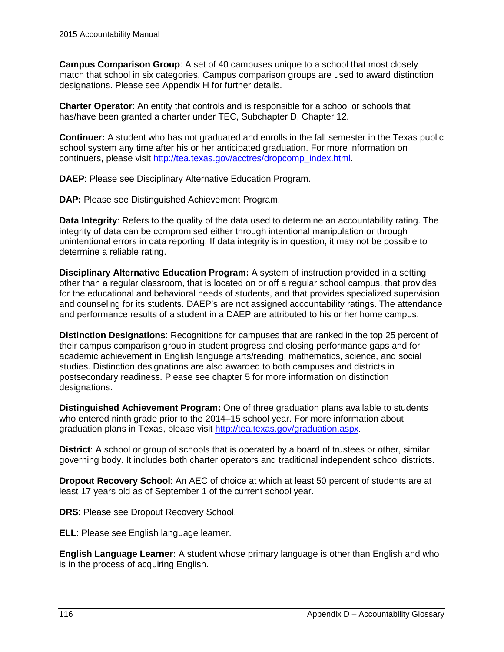**Campus Comparison Group**: A set of 40 campuses unique to a school that most closely match that school in six categories. Campus comparison groups are used to award distinction designations. Please see Appendix H for further details.

**Charter Operator**: An entity that controls and is responsible for a school or schools that has/have been granted a charter under TEC, Subchapter D, Chapter 12.

**Continuer:** A student who has not graduated and enrolls in the fall semester in the Texas public school system any time after his or her anticipated graduation. For more information on continuers, please visit [http://tea.texas.gov/acctres/dropcomp\\_index.html.](http://tea.texas.gov/acctres/dropcomp_index.html)

**DAEP**: Please see Disciplinary Alternative Education Program.

**DAP:** Please see Distinguished Achievement Program.

**Data Integrity**: Refers to the quality of the data used to determine an accountability rating. The integrity of data can be compromised either through intentional manipulation or through unintentional errors in data reporting. If data integrity is in question, it may not be possible to determine a reliable rating.

**Disciplinary Alternative Education Program:** A system of instruction provided in a setting other than a regular classroom, that is located on or off a regular school campus, that provides for the educational and behavioral needs of students, and that provides specialized supervision and counseling for its students. DAEP's are not assigned accountability ratings. The attendance and performance results of a student in a DAEP are attributed to his or her home campus.

**Distinction Designations**: Recognitions for campuses that are ranked in the top 25 percent of their campus comparison group in student progress and closing performance gaps and for academic achievement in English language arts/reading, mathematics, science, and social studies. Distinction designations are also awarded to both campuses and districts in postsecondary readiness. Please see chapter 5 for more information on distinction designations.

**Distinguished Achievement Program:** One of three graduation plans available to students who entered ninth grade prior to the 2014–15 school year. For more information about graduation plans in Texas, please visit [http://tea.texas.gov/graduation.aspx.](http://tea.texas.gov/graduation.aspx)

**District:** A school or group of schools that is operated by a board of trustees or other, similar governing body. It includes both charter operators and traditional independent school districts.

**Dropout Recovery School**: An AEC of choice at which at least 50 percent of students are at least 17 years old as of September 1 of the current school year.

**DRS**: Please see Dropout Recovery School.

**ELL**: Please see English language learner.

**English Language Learner:** A student whose primary language is other than English and who is in the process of acquiring English.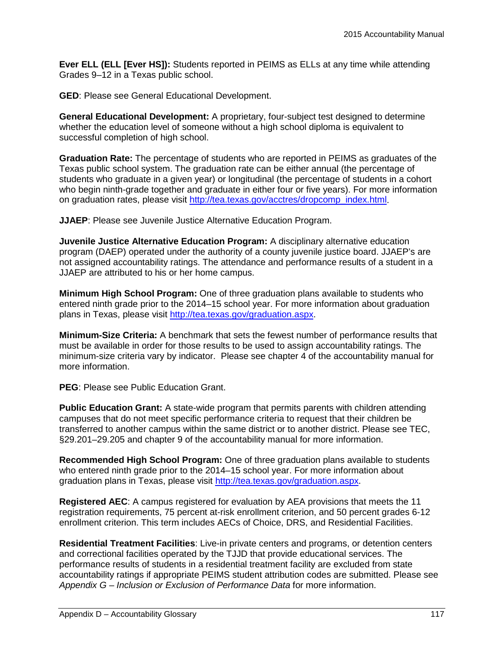**Ever ELL (ELL [Ever HS]):** Students reported in PEIMS as ELLs at any time while attending Grades 9–12 in a Texas public school.

**GED**: Please see General Educational Development.

**General Educational Development:** A proprietary, four-subject test designed to determine whether the education level of someone without a high school diploma is equivalent to successful completion of high school.

**Graduation Rate:** The percentage of students who are reported in PEIMS as graduates of the Texas public school system. The graduation rate can be either annual (the percentage of students who graduate in a given year) or longitudinal (the percentage of students in a cohort who begin ninth-grade together and graduate in either four or five years). For more information on graduation rates, please visit [http://tea.texas.gov/acctres/dropcomp\\_index.html.](http://tea.texas.gov/acctres/dropcomp_index.html)

**JJAEP**: Please see Juvenile Justice Alternative Education Program.

**Juvenile Justice Alternative Education Program:** A disciplinary alternative education program (DAEP) operated under the authority of a county juvenile justice board. JJAEP's are not assigned accountability ratings. The attendance and performance results of a student in a JJAEP are attributed to his or her home campus.

**Minimum High School Program:** One of three graduation plans available to students who entered ninth grade prior to the 2014–15 school year. For more information about graduation plans in Texas, please visit [http://tea.texas.gov/graduation.aspx.](http://tea.texas.gov/graduation.aspx)

**Minimum-Size Criteria:** A benchmark that sets the fewest number of performance results that must be available in order for those results to be used to assign accountability ratings. The minimum-size criteria vary by indicator. Please see chapter 4 of the accountability manual for more information.

**PEG**: Please see Public Education Grant.

**Public Education Grant:** A state-wide program that permits parents with children attending campuses that do not meet specific performance criteria to request that their children be transferred to another campus within the same district or to another district. Please see TEC, §29.201–29.205 and chapter 9 of the accountability manual for more information.

**Recommended High School Program:** One of three graduation plans available to students who entered ninth grade prior to the 2014–15 school year. For more information about graduation plans in Texas, please visit [http://tea.texas.gov/graduation.aspx.](http://tea.texas.gov/graduation.aspx)

**Registered AEC**: A campus registered for evaluation by AEA provisions that meets the 11 registration requirements, 75 percent at-risk enrollment criterion, and 50 percent grades 6-12 enrollment criterion. This term includes AECs of Choice, DRS, and Residential Facilities.

**Residential Treatment Facilities**: Live-in private centers and programs, or detention centers and correctional facilities operated by the TJJD that provide educational services. The performance results of students in a residential treatment facility are excluded from state accountability ratings if appropriate PEIMS student attribution codes are submitted. Please see *Appendix G – Inclusion or Exclusion of Performance Data* for more information.